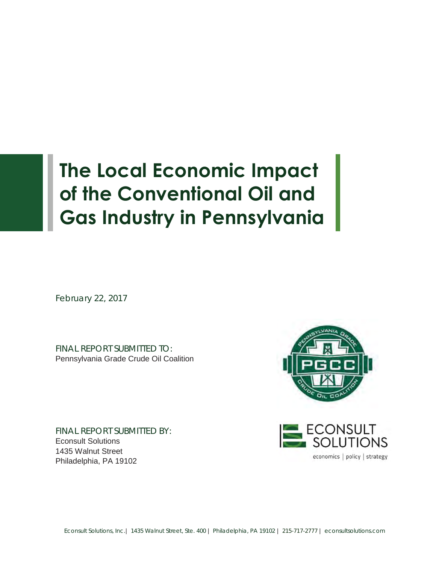# **The Local Economic Impact of the Conventional Oil and Gas Industry in Pennsylvania**

February 22, 2017

I

FINAL REPORT SUBMITTED TO: Pennsylvania Grade Crude Oil Coalition

FINAL REPORT SUBMITTED BY: Econsult Solutions 1435 Walnut Street Philadelphia, PA 19102



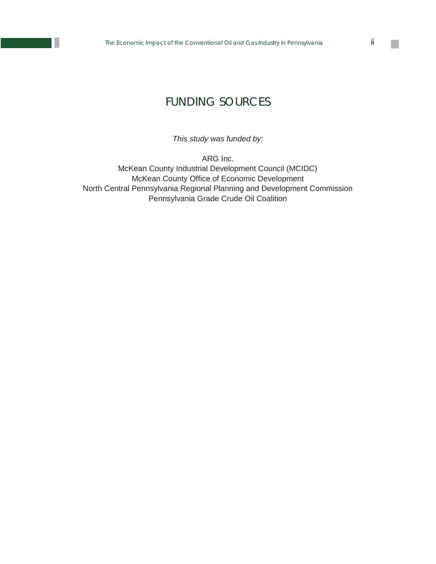## FUNDING SOURCES

*This study was funded by:* 

ARG Inc. McKean County Industrial Development Council (MCIDC) McKean County Office of Economic Development North Central Pennsylvania Regional Planning and Development Commission Pennsylvania Grade Crude Oil Coalition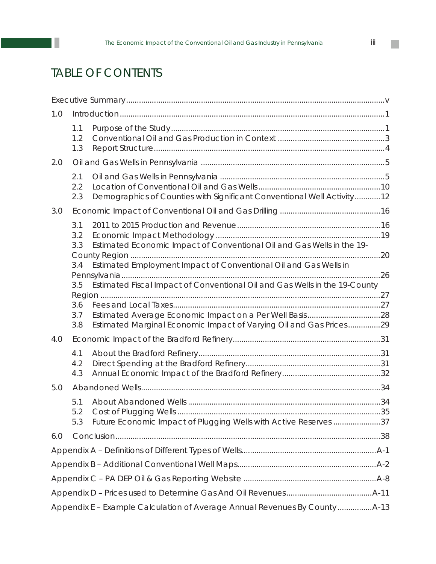# TABLE OF CONTENTS

П

| 1.0 |                                                                                   |                                                                                                                                            |  |
|-----|-----------------------------------------------------------------------------------|--------------------------------------------------------------------------------------------------------------------------------------------|--|
|     | 1.1<br>1.2<br>1.3                                                                 |                                                                                                                                            |  |
| 2.0 |                                                                                   |                                                                                                                                            |  |
|     | 2.1<br>2.2<br>2.3                                                                 | Demographics of Counties with Significant Conventional Well Activity12                                                                     |  |
| 3.0 |                                                                                   |                                                                                                                                            |  |
|     | 3.1<br>3.2<br>3.3<br>3.4                                                          | Estimated Economic Impact of Conventional Oil and Gas Wells in the 19-<br>Estimated Employment Impact of Conventional Oil and Gas Wells in |  |
|     | Estimated Fiscal Impact of Conventional Oil and Gas Wells in the 19-County<br>3.5 |                                                                                                                                            |  |
|     | 3.6<br>3.7<br>3.8                                                                 | Estimated Marginal Economic Impact of Varying Oil and Gas Prices29                                                                         |  |
| 4.0 |                                                                                   |                                                                                                                                            |  |
|     | 4.1<br>4.2<br>4.3                                                                 |                                                                                                                                            |  |
| 5.0 |                                                                                   |                                                                                                                                            |  |
|     | 5.1<br>5.2<br>5.3                                                                 | Future Economic Impact of Plugging Wells with Active Reserves 37                                                                           |  |
| 6.0 |                                                                                   |                                                                                                                                            |  |
|     |                                                                                   |                                                                                                                                            |  |
|     |                                                                                   |                                                                                                                                            |  |
|     |                                                                                   |                                                                                                                                            |  |
|     |                                                                                   |                                                                                                                                            |  |
|     |                                                                                   |                                                                                                                                            |  |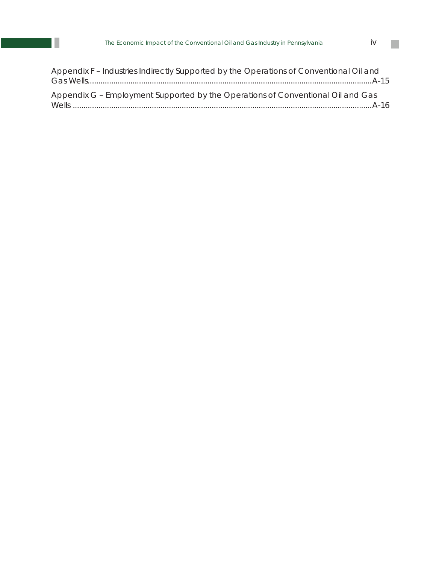| Appendix F - Industries Indirectly Supported by the Operations of Conventional Oil and |  |
|----------------------------------------------------------------------------------------|--|
|                                                                                        |  |
| Appendix G - Employment Supported by the Operations of Conventional Oil and Gas        |  |
|                                                                                        |  |
|                                                                                        |  |

 $\mathbb{R}^n$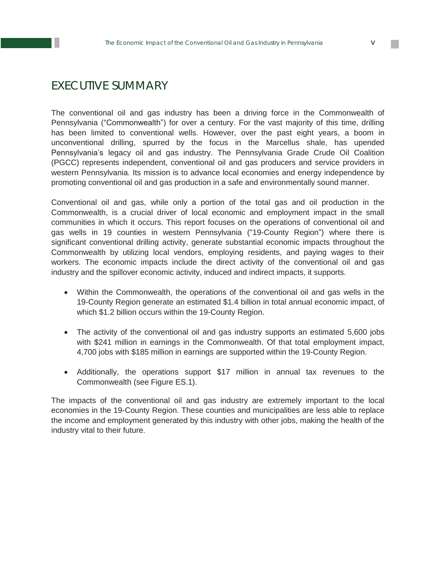## EXECUTIVE SUMMARY

The conventional oil and gas industry has been a driving force in the Commonwealth of Pennsylvania ("Commonwealth") for over a century. For the vast majority of this time, drilling has been limited to conventional wells. However, over the past eight years, a boom in unconventional drilling, spurred by the focus in the Marcellus shale, has upended Pennsylvania's legacy oil and gas industry. The Pennsylvania Grade Crude Oil Coalition (PGCC) represents independent, conventional oil and gas producers and service providers in western Pennsylvania. Its mission is to advance local economies and energy independence by promoting conventional oil and gas production in a safe and environmentally sound manner.

Conventional oil and gas, while only a portion of the total gas and oil production in the Commonwealth, is a crucial driver of local economic and employment impact in the small communities in which it occurs. This report focuses on the operations of conventional oil and gas wells in 19 counties in western Pennsylvania ("19-County Region") where there is significant conventional drilling activity, generate substantial economic impacts throughout the Commonwealth by utilizing local vendors, employing residents, and paying wages to their workers. The economic impacts include the direct activity of the conventional oil and gas industry and the spillover economic activity, induced and indirect impacts, it supports.

- Within the Commonwealth, the operations of the conventional oil and gas wells in the 19-County Region generate an estimated \$1.4 billion in total annual economic impact, of which \$1.2 billion occurs within the 19-County Region.
- The activity of the conventional oil and gas industry supports an estimated 5,600 jobs with \$241 million in earnings in the Commonwealth. Of that total employment impact, 4,700 jobs with \$185 million in earnings are supported within the 19-County Region.
- Additionally, the operations support \$17 million in annual tax revenues to the Commonwealth (see Figure ES.1).

The impacts of the conventional oil and gas industry are extremely important to the local economies in the 19-County Region. These counties and municipalities are less able to replace the income and employment generated by this industry with other jobs, making the health of the industry vital to their future.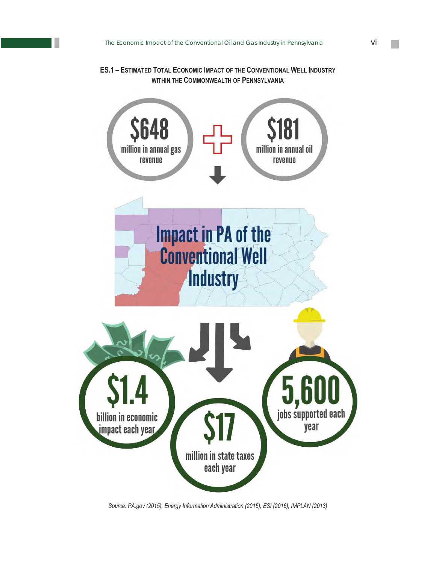#### **ES.1 – ESTIMATED TOTAL ECONOMIC IMPACT OF THE CONVENTIONAL WELL INDUSTRY WITHIN THE COMMONWEALTH OF PENNSYLVANIA**



*Source: PA.gov (2015), Energy Information Administration (2015), ESI (2016), IMPLAN (2013)*